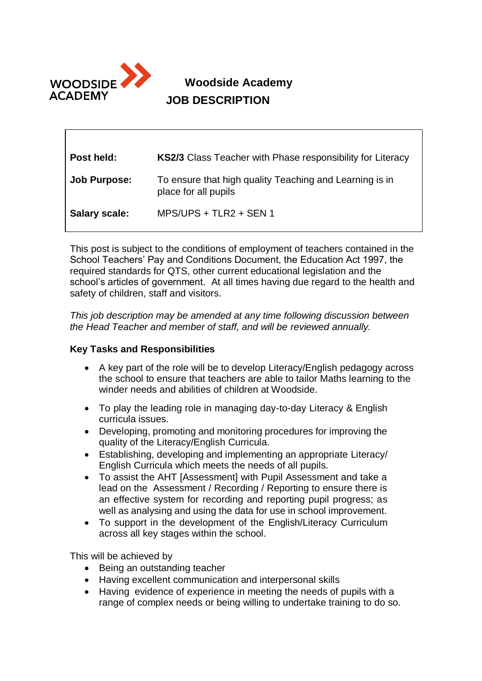

 **Woodside Academy JOB DESCRIPTION**

| Post held:           | <b>KS2/3</b> Class Teacher with Phase responsibility for Literacy               |
|----------------------|---------------------------------------------------------------------------------|
| <b>Job Purpose:</b>  | To ensure that high quality Teaching and Learning is in<br>place for all pupils |
| <b>Salary scale:</b> | MPS/UPS + TLR2 + SEN 1                                                          |

This post is subject to the conditions of employment of teachers contained in the School Teachers' Pay and Conditions Document, the Education Act 1997, the required standards for QTS, other current educational legislation and the school's articles of government. At all times having due regard to the health and safety of children, staff and visitors.

*This job description may be amended at any time following discussion between the Head Teacher and member of staff, and will be reviewed annually.*

### **Key Tasks and Responsibilities**

- A key part of the role will be to develop Literacy/English pedagogy across the school to ensure that teachers are able to tailor Maths learning to the winder needs and abilities of children at Woodside.
- To play the leading role in managing day-to-day Literacy & English curricula issues.
- Developing, promoting and monitoring procedures for improving the quality of the Literacy/English Curricula.
- Establishing, developing and implementing an appropriate Literacy/ English Curricula which meets the needs of all pupils.
- To assist the AHT [Assessment] with Pupil Assessment and take a lead on the Assessment / Recording / Reporting to ensure there is an effective system for recording and reporting pupil progress; as well as analysing and using the data for use in school improvement.
- To support in the development of the English/Literacy Curriculum across all key stages within the school.

This will be achieved by

- Being an outstanding teacher
- Having excellent communication and interpersonal skills
- Having evidence of experience in meeting the needs of pupils with a range of complex needs or being willing to undertake training to do so.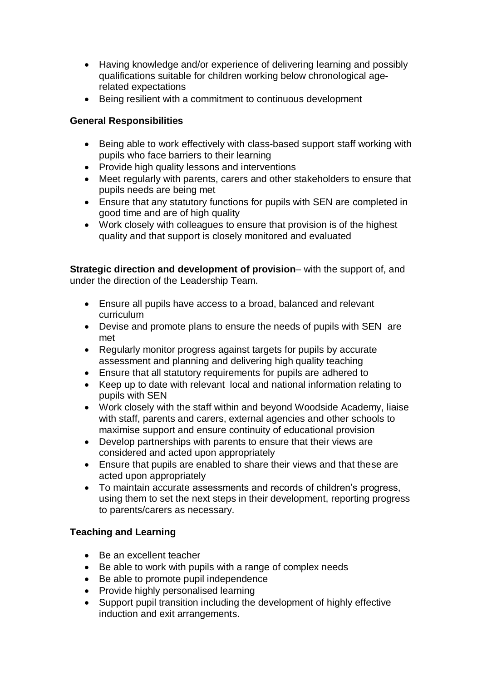- Having knowledge and/or experience of delivering learning and possibly qualifications suitable for children working below chronological agerelated expectations
- Being resilient with a commitment to continuous development

# **General Responsibilities**

- Being able to work effectively with class-based support staff working with pupils who face barriers to their learning
- Provide high quality lessons and interventions
- Meet regularly with parents, carers and other stakeholders to ensure that pupils needs are being met
- Ensure that any statutory functions for pupils with SEN are completed in good time and are of high quality
- Work closely with colleagues to ensure that provision is of the highest quality and that support is closely monitored and evaluated

**Strategic direction and development of provision**– with the support of, and under the direction of the Leadership Team.

- Ensure all pupils have access to a broad, balanced and relevant curriculum
- Devise and promote plans to ensure the needs of pupils with SEN are met
- Regularly monitor progress against targets for pupils by accurate assessment and planning and delivering high quality teaching
- Ensure that all statutory requirements for pupils are adhered to
- Keep up to date with relevant local and national information relating to pupils with SEN
- Work closely with the staff within and beyond Woodside Academy, liaise with staff, parents and carers, external agencies and other schools to maximise support and ensure continuity of educational provision
- Develop partnerships with parents to ensure that their views are considered and acted upon appropriately
- Ensure that pupils are enabled to share their views and that these are acted upon appropriately
- To maintain accurate assessments and records of children's progress, using them to set the next steps in their development, reporting progress to parents/carers as necessary.

## **Teaching and Learning**

- Be an excellent teacher
- Be able to work with pupils with a range of complex needs
- Be able to promote pupil independence
- Provide highly personalised learning
- Support pupil transition including the development of highly effective induction and exit arrangements.